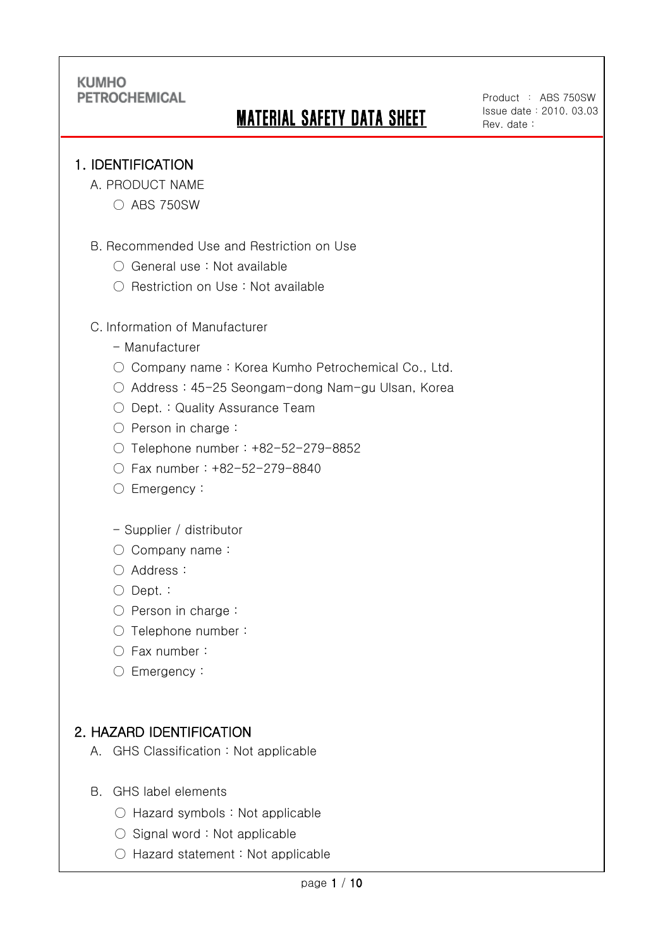# MATERIAL SAFETY DATA SHEET

Product : ABS 750SW Issue date:2010. 03.03 Rev. date :

## 1. IDENTIFICATION

Ī

- A. PRODUCT NAME
	- ABS 750SW
- B. Recommended Use and Restriction on Use
	- General use : Not available
	- Restriction on Use : Not available

#### C. Information of Manufacturer

- Manufacturer
- Company name: Korea Kumho Petrochemical Co., Ltd.
- Address : 45-25 Seongam-dong Nam-gu Ulsan, Korea
- Dept. : Quality Assurance Team
- Person in charge :
- Telephone number : +82-52-279-8852
- Fax number : +82-52-279-8840
- Emergency:
- Supplier / distributor
- Company name:
- Address :
- Dept. :
- Person in charge :
- Telephone number :
- Fax number :
- Emergency:

## 2. HAZARD IDENTIFICATION

- A. GHS Classification : Not applicable
- B. GHS label elements
	- Hazard symbols : Not applicable
	- Signal word : Not applicable
	- Hazard statement : Not applicable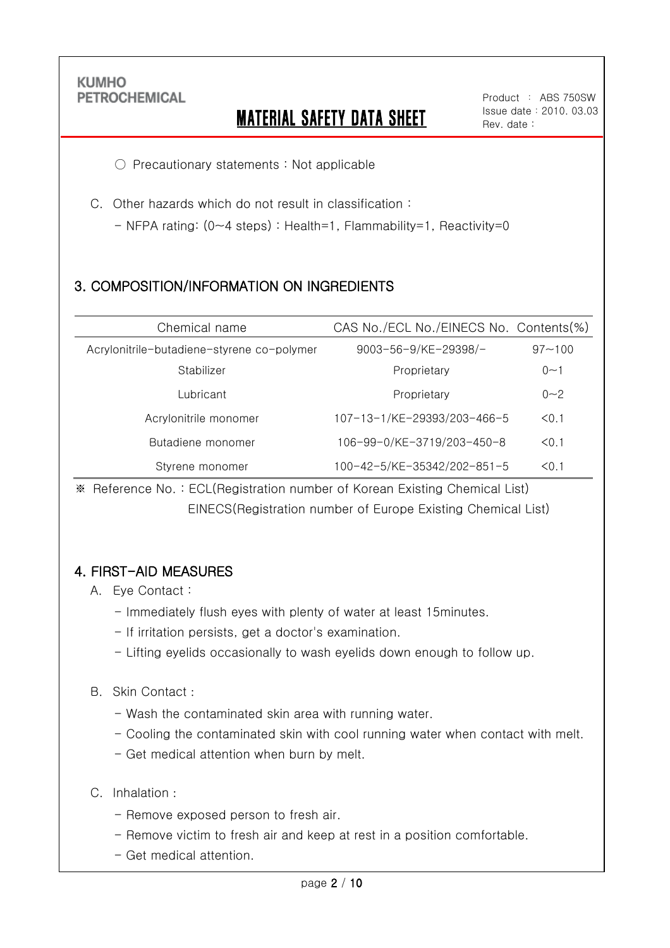Ī

# MATERIAL SAFETY DATA SHEET

Product : ABS 750SW Issue date:2010. 03.03 Rev. date :

○ Precautionary statements : Not applicable

C. Other hazards which do not result in classification :

- NFPA rating: (0~4 steps) : Health=1, Flammability=1, Reactivity=0

## 3. COMPOSITION/INFORMATION ON INGREDIENTS

| Chemical name                              | CAS No./ECL No./EINECS No. Contents(%) |            |
|--------------------------------------------|----------------------------------------|------------|
| Acrylonitrile-butadiene-styrene co-polymer | $9003 - 56 - 9$ /KE-29398/-            | $97 - 100$ |
| Stabilizer                                 | Proprietary                            | $0 - 1$    |
| Lubricant                                  | Proprietary                            | $0 - 2$    |
| Acrylonitrile monomer                      | 107-13-1/KE-29393/203-466-5            | < 0.1      |
| Butadiene monomer                          | 106-99-0/KE-3719/203-450-8             | < 0.1      |
| Styrene monomer                            | 100-42-5/KE-35342/202-851-5            | < 0.1      |

※ Reference No. : ECL(Registration number of Korean Existing Chemical List) EINECS(Registration number of Europe Existing Chemical List)

## 4. FIRST-AID MEASURES

- A. Eye Contact :
	- Immediately flush eyes with plenty of water at least 15minutes.
	- If irritation persists, get a doctor's examination.
	- Lifting eyelids occasionally to wash eyelids down enough to follow up.

#### B. Skin Contact :

- Wash the contaminated skin area with running water.
- Cooling the contaminated skin with cool running water when contact with melt.
- Get medical attention when burn by melt.
- C. Inhalation :
	- Remove exposed person to fresh air.
	- Remove victim to fresh air and keep at rest in a position comfortable.
	- Get medical attention.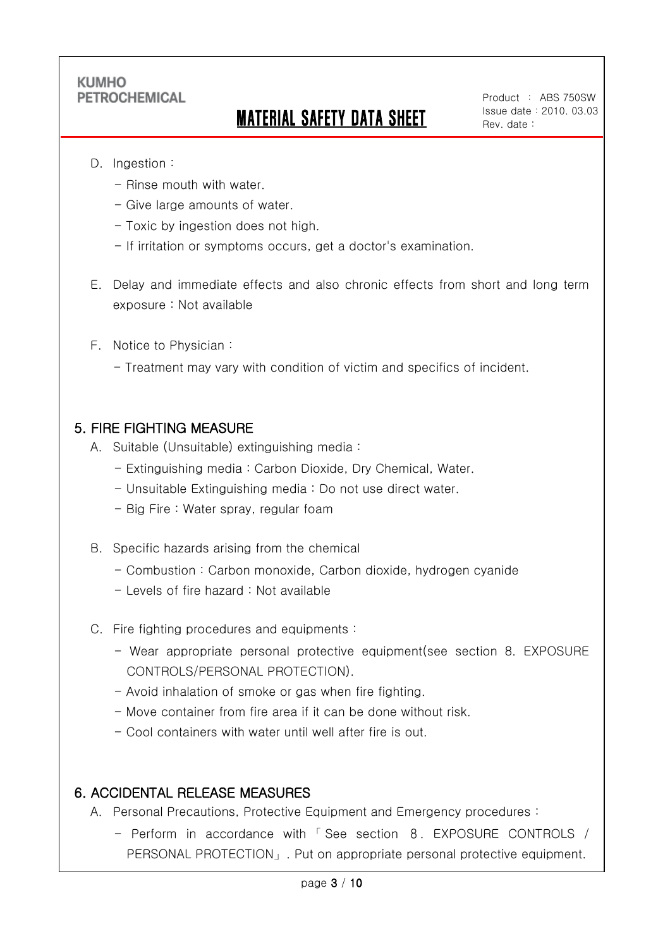# MATERIAL SAFETY DATA SHEET

Product : ABS 750SW Issue date:2010. 03.03 Rev. date :

D. Ingestion :

Ī

- Rinse mouth with water.
- Give large amounts of water.
- Toxic by ingestion does not high.
- If irritation or symptoms occurs, get a doctor's examination.
- E. Delay and immediate effects and also chronic effects from short and long term exposure : Not available
- F. Notice to Physician :
	- Treatment may vary with condition of victim and specifics of incident.

#### 5. FIRE FIGHTING MEASURE

- A. Suitable (Unsuitable) extinguishing media :
	- Extinguishing media : Carbon Dioxide, Dry Chemical, Water.
	- Unsuitable Extinguishing media : Do not use direct water.
	- Big Fire : Water spray, regular foam
- B. Specific hazards arising from the chemical
	- Combustion : Carbon monoxide, Carbon dioxide, hydrogen cyanide
	- Levels of fire hazard : Not available
- C. Fire fighting procedures and equipments :
	- Wear appropriate personal protective equipment(see section 8. EXPOSURE CONTROLS/PERSONAL PROTECTION).
	- Avoid inhalation of smoke or gas when fire fighting.
	- Move container from fire area if it can be done without risk.
	- Cool containers with water until well after fire is out.

#### 6. ACCIDENTAL RELEASE MEASURES

- A. Personal Precautions, Protective Equipment and Emergency procedures :
	- Perform in accordance with 「 See section 8. EXPOSURE CONTROLS / PERSONAL PROTECTION」. Put on appropriate personal protective equipment.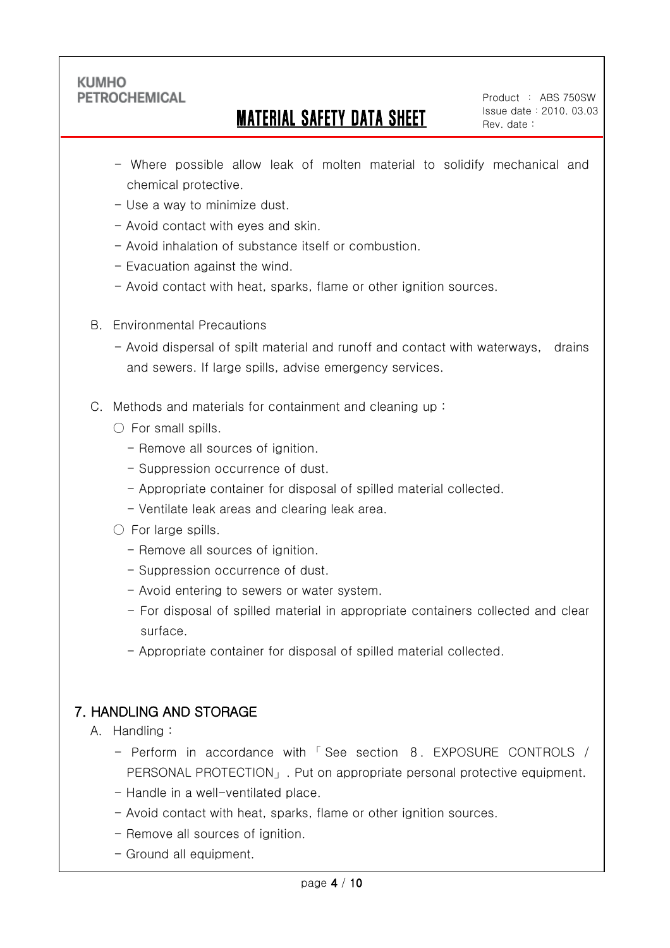Ī

## MATERIAL SAFETY DATA SHEET

Product : ABS 750SW Issue date:2010. 03.03 Rev. date :

- Where possible allow leak of molten material to solidify mechanical and chemical protective.
- Use a way to minimize dust.
- Avoid contact with eyes and skin.
- Avoid inhalation of substance itself or combustion.
- Evacuation against the wind.
- Avoid contact with heat, sparks, flame or other ignition sources.
- B. Environmental Precautions
	- Avoid dispersal of spilt material and runoff and contact with waterways, drains and sewers. If large spills, advise emergency services.
- C. Methods and materials for containment and cleaning up :
	- $\bigcirc$  For small spills.
		- Remove all sources of ignition.
		- Suppression occurrence of dust.
		- Appropriate container for disposal of spilled material collected.
		- Ventilate leak areas and clearing leak area.
	- $\circlearrowright$  For large spills.
		- Remove all sources of ignition.
		- Suppression occurrence of dust.
		- Avoid entering to sewers or water system.
		- For disposal of spilled material in appropriate containers collected and clear surface.
		- Appropriate container for disposal of spilled material collected.

## 7. HANDLING AND STORAGE

#### A. Handling :

- Perform in accordance with 「 See section 8. EXPOSURE CONTROLS / PERSONAL PROTECTION」. Put on appropriate personal protective equipment.
- Handle in a well-ventilated place.
- Avoid contact with heat, sparks, flame or other ignition sources.
- Remove all sources of ignition.
- Ground all equipment.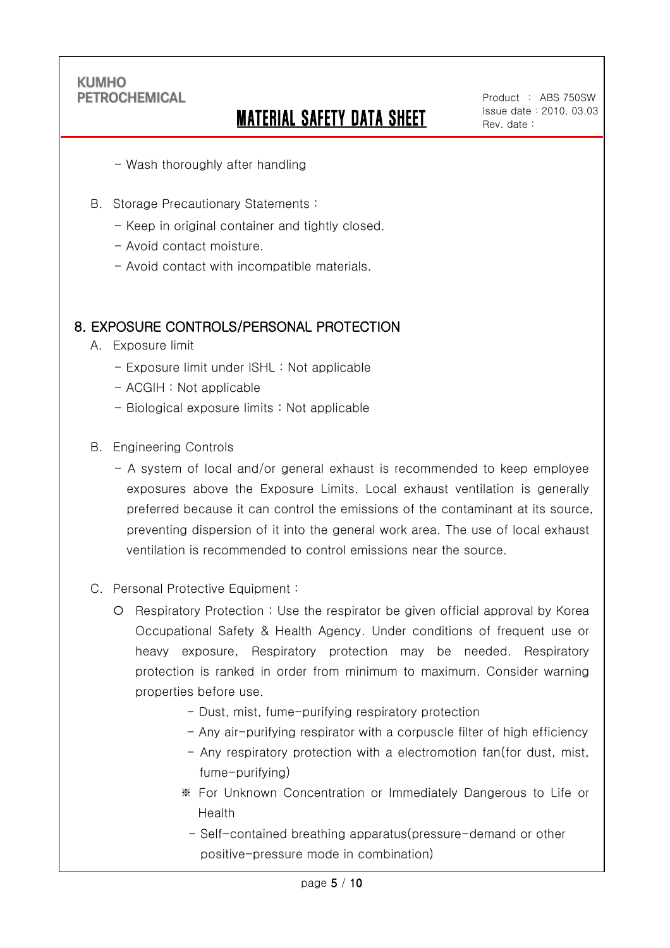Ī

# MATERIAL SAFETY DATA SHEET

Product : ABS 750SW Issue date:2010. 03.03 Rev. date :

- Wash thoroughly after handling
- B. Storage Precautionary Statements :
	- Keep in original container and tightly closed.
	- Avoid contact moisture.
	- Avoid contact with incompatible materials.

### 8. EXPOSURE CONTROLS/PERSONAL PROTECTION

- A. Exposure limit
	- Exposure limit under ISHL : Not applicable
	- ACGIH : Not applicable
	- Biological exposure limits : Not applicable
- B. Engineering Controls
	- A system of local and/or general exhaust is recommended to keep employee exposures above the Exposure Limits. Local exhaust ventilation is generally preferred because it can control the emissions of the contaminant at its source, preventing dispersion of it into the general work area. The use of local exhaust ventilation is recommended to control emissions near the source.
- C. Personal Protective Equipment :
	- O Respiratory Protection : Use the respirator be given official approval by Korea Occupational Safety & Health Agency. Under conditions of frequent use or heavy exposure, Respiratory protection may be needed. Respiratory protection is ranked in order from minimum to maximum. Consider warning properties before use.
		- Dust, mist, fume-purifying respiratory protection
		- Any air-purifying respirator with a corpuscle filter of high efficiency
		- Any respiratory protection with a electromotion fan(for dust, mist, fume-purifying)
		- ※ For Unknown Concentration or Immediately Dangerous to Life or Health
			- Self-contained breathing apparatus(pressure-demand or other positive-pressure mode in combination)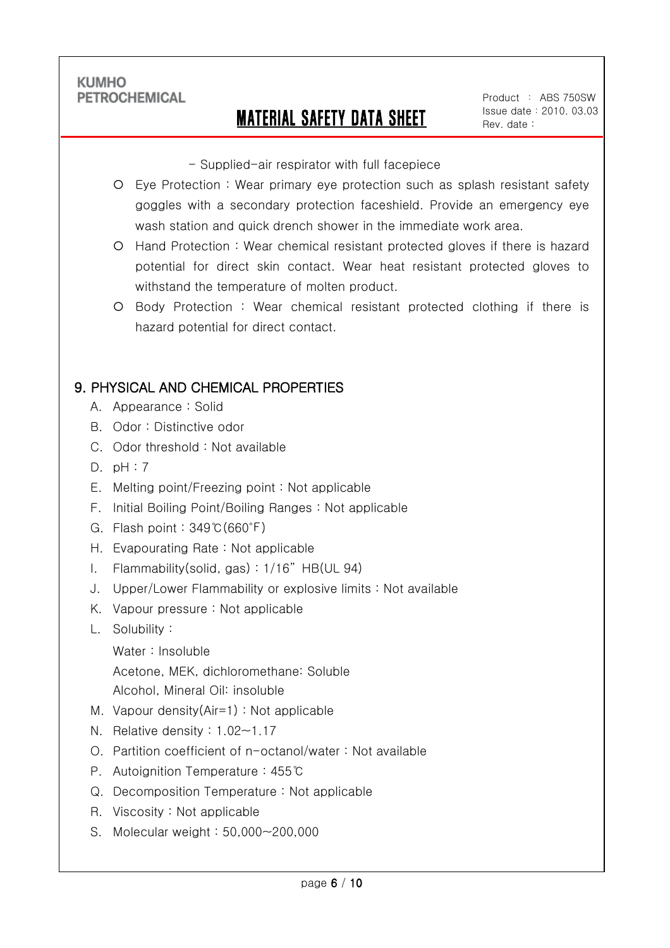Ī

## MATERIAL SAFETY DATA SHEET

Product : ABS 750SW Issue date:2010. 03.03 Rev. date :

- Supplied-air respirator with full facepiece

- Eye Protection : Wear primary eye protection such as splash resistant safety goggles with a secondary protection faceshield. Provide an emergency eye wash station and quick drench shower in the immediate work area.
- Hand Protection : Wear chemical resistant protected gloves if there is hazard potential for direct skin contact. Wear heat resistant protected gloves to withstand the temperature of molten product.
- Body Protection : Wear chemical resistant protected clothing if there is hazard potential for direct contact.

## 9. PHYSICAL AND CHEMICAL PROPERTIES

- A. Appearance : Solid
- B. Odor : Distinctive odor
- C. Odor threshold : Not available
- D. pH : 7
- E. Melting point/Freezing point : Not applicable
- F. Initial Boiling Point/Boiling Ranges : Not applicable
- G. Flash point : 349℃(660℉)
- H. Evapourating Rate : Not applicable
- I. Flammability(solid, gas) : 1/16" HB(UL 94)
- J. Upper/Lower Flammability or explosive limits : Not available
- K. Vapour pressure : Not applicable
- L. Solubility :
	- Water : Insoluble

Acetone, MEK, dichloromethane: Soluble

- Alcohol, Mineral Oil: insoluble
- M. Vapour density(Air=1) : Not applicable
- N. Relative density : 1.02~1.17
- O. Partition coefficient of n-octanol/water : Not available
- P. Autoignition Temperature : 455℃
- Q. Decomposition Temperature : Not applicable
- R. Viscosity : Not applicable
- S. Molecular weight : 50,000~200,000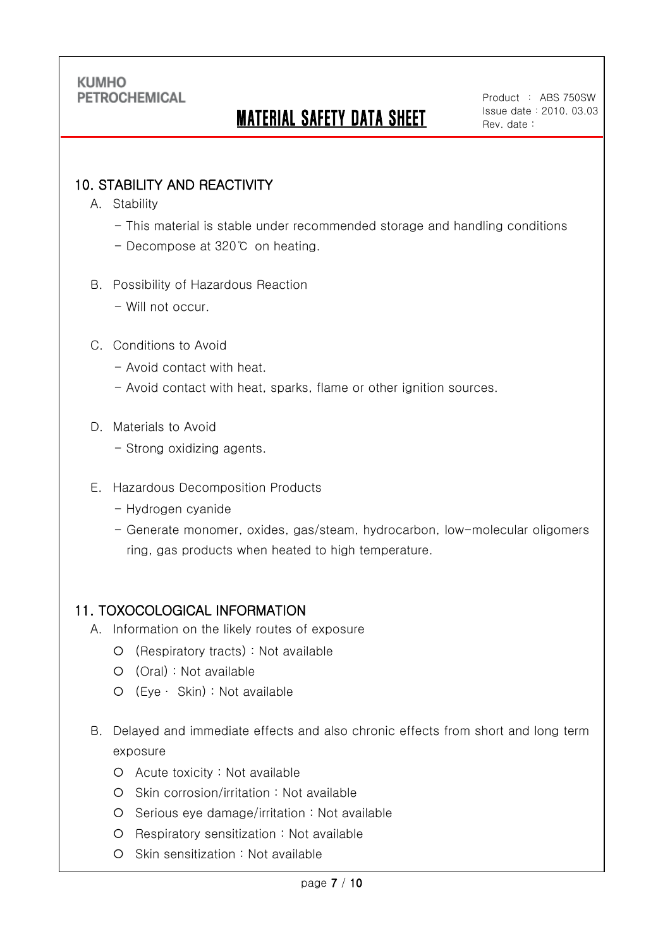# MATERIAL SAFETY DATA SHEET

Product : ABS 750SW Issue date:2010. 03.03 Rev. date :

## 10. STABILITY AND REACTIVITY

A. Stability

Ī

- This material is stable under recommended storage and handling conditions
- Decompose at 320℃ on heating.
- B. Possibility of Hazardous Reaction
	- Will not occur.
- C. Conditions to Avoid
	- Avoid contact with heat.
	- Avoid contact with heat, sparks, flame or other ignition sources.
- D. Materials to Avoid
	- Strong oxidizing agents.
- E. Hazardous Decomposition Products
	- Hydrogen cyanide
	- Generate monomer, oxides, gas/steam, hydrocarbon, low-molecular oligomers ring, gas products when heated to high temperature.

#### 11. TOXOCOLOGICAL INFORMATION

- A. Information on the likely routes of exposure
	- (Respiratory tracts) : Not available
	- (Oral) : Not available
	- (Eye ∙ Skin) : Not available
- B. Delayed and immediate effects and also chronic effects from short and long term exposure
	- Acute toxicity : Not available
	- O Skin corrosion/irritation : Not available
	- O Serious eye damage/irritation : Not available
	- O Respiratory sensitization : Not available
	- O Skin sensitization : Not available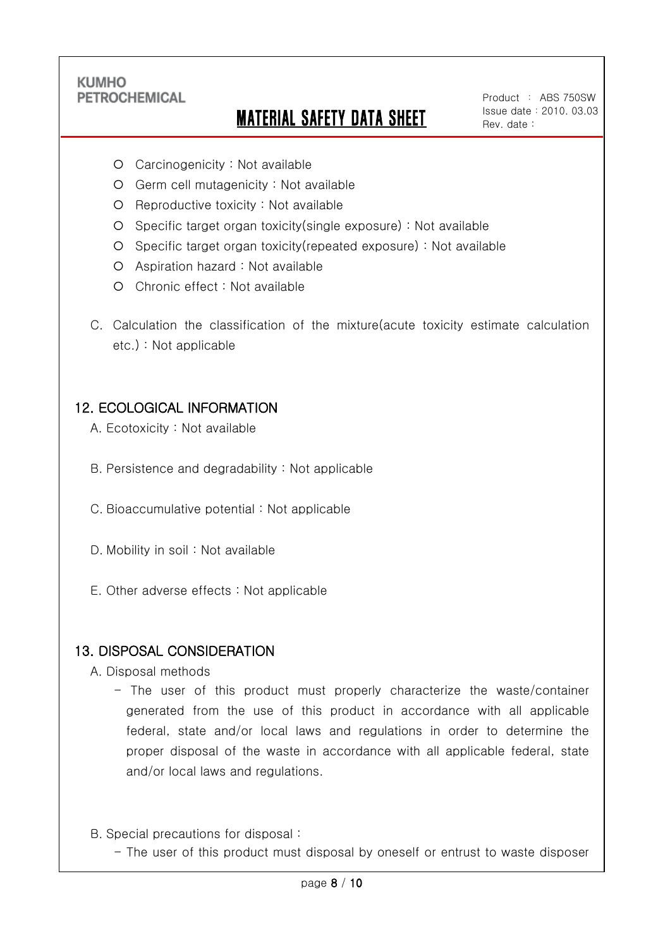Ī

## MATERIAL SAFETY DATA SHEET

Product : ABS 750SW Issue date:2010. 03.03 Rev. date :

- Carcinogenicity : Not available
- Germ cell mutagenicity : Not available
- $O$  Reproductive toxicity : Not available
- Specific target organ toxicity(single exposure) : Not available
- Specific target organ toxicity(repeated exposure) : Not available
- Aspiration hazard : Not available
- Chronic effect : Not available
- C. Calculation the classification of the mixture(acute toxicity estimate calculation etc.) : Not applicable

## 12. ECOLOGICAL INFORMATION

- A. Ecotoxicity : Not available
- B. Persistence and degradability : Not applicable
- C. Bioaccumulative potential : Not applicable
- D. Mobility in soil : Not available
- E. Other adverse effects : Not applicable

#### 13. DISPOSAL CONSIDERATION

- A. Disposal methods
	- The user of this product must properly characterize the waste/container generated from the use of this product in accordance with all applicable federal, state and/or local laws and regulations in order to determine the proper disposal of the waste in accordance with all applicable federal, state and/or local laws and regulations.
- B. Special precautions for disposal :
	- The user of this product must disposal by oneself or entrust to waste disposer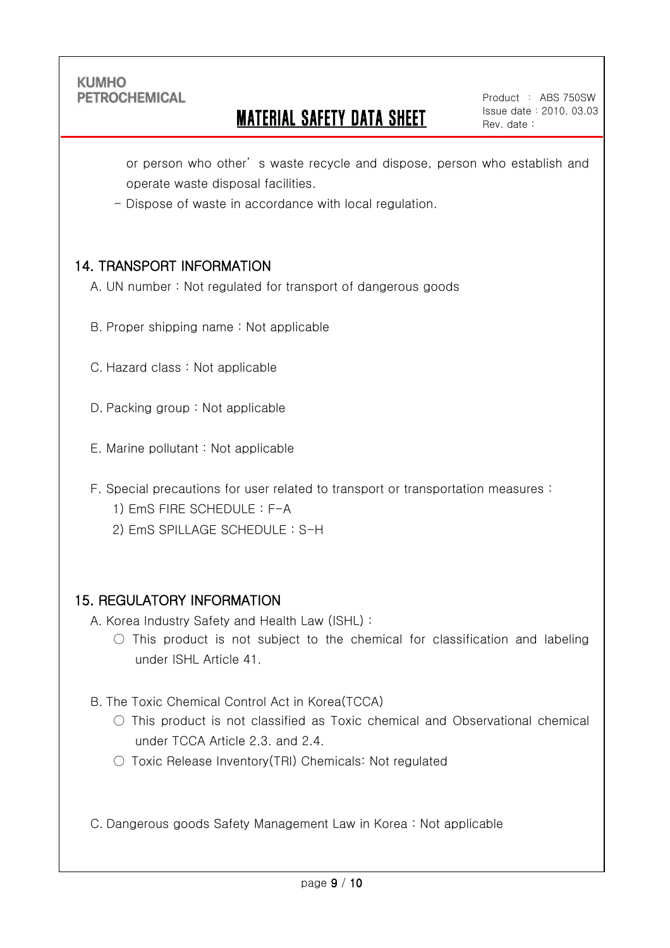Ī

## MATERIAL SAFETY DATA SHEET

Product : ABS 750SW Issue date:2010. 03.03 Rev. date :

or person who other' s waste recycle and dispose, person who establish and operate waste disposal facilities.

- Dispose of waste in accordance with local regulation.

## 14. TRANSPORT INFORMATION

A. UN number : Not regulated for transport of dangerous goods

- B. Proper shipping name : Not applicable
- C. Hazard class : Not applicable
- D. Packing group : Not applicable
- E. Marine pollutant : Not applicable
- F. Special precautions for user related to transport or transportation measures :
	- 1) EmS FIRE SCHEDULE : F-A
	- 2) EmS SPILLAGE SCHEDULE : S-H

#### 15. REGULATORY INFORMATION

A. Korea Industry Safety and Health Law (ISHL) :

- $\circ$  This product is not subject to the chemical for classification and labeling under ISHL Article 41.
- B. The Toxic Chemical Control Act in Korea(TCCA)
	- $\circ$  This product is not classified as Toxic chemical and Observational chemical under TCCA Article 2.3. and 2.4.
	- Toxic Release Inventory(TRI) Chemicals: Not regulated

C. Dangerous goods Safety Management Law in Korea : Not applicable